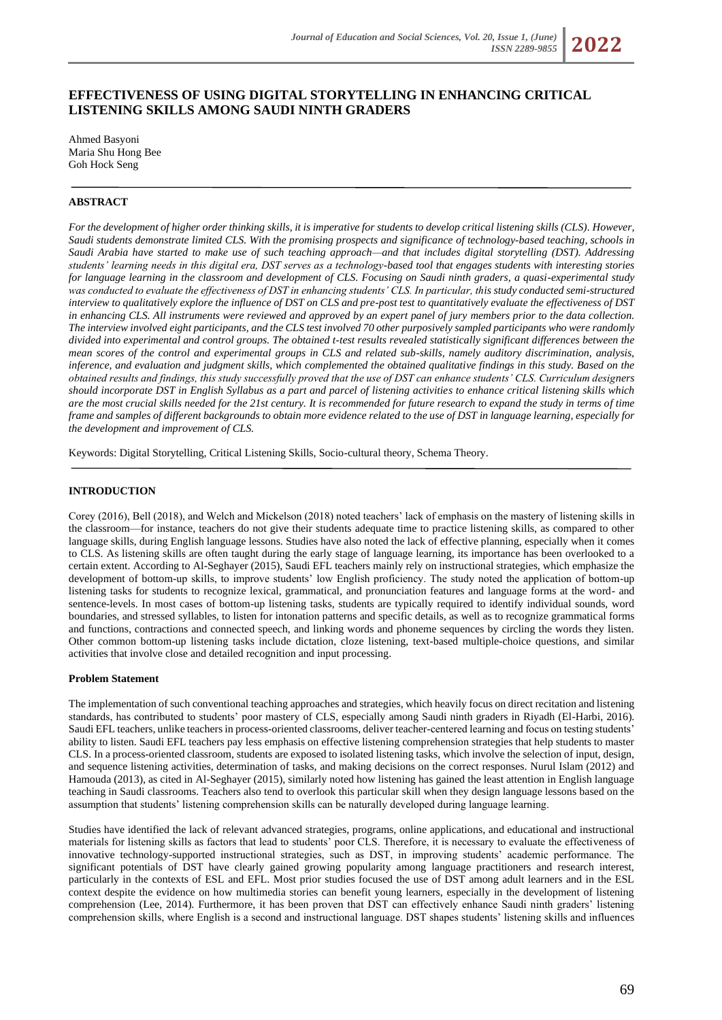# **EFFECTIVENESS OF USING DIGITAL STORYTELLING IN ENHANCING CRITICAL LISTENING SKILLS AMONG SAUDI NINTH GRADERS**

Ahmed Basyoni Maria Shu Hong Bee Goh Hock Seng

# **ABSTRACT**

*For the development of higher order thinking skills, it is imperative for students to develop critical listening skills (CLS). However, Saudi students demonstrate limited CLS. With the promising prospects and significance of technology-based teaching, schools in Saudi Arabia have started to make use of such teaching approach—and that includes digital storytelling (DST). Addressing students' learning needs in this digital era, DST serves as a technology-based tool that engages students with interesting stories for language learning in the classroom and development of CLS. Focusing on Saudi ninth graders, a quasi-experimental study was conducted to evaluate the effectiveness of DST in enhancing students' CLS. In particular, this study conducted semi-structured interview to qualitatively explore the influence of DST on CLS and pre-post test to quantitatively evaluate the effectiveness of DST in enhancing CLS. All instruments were reviewed and approved by an expert panel of jury members prior to the data collection. The interview involved eight participants, and the CLS test involved 70 other purposively sampled participants who were randomly divided into experimental and control groups. The obtained t-test results revealed statistically significant differences between the mean scores of the control and experimental groups in CLS and related sub-skills, namely auditory discrimination, analysis, inference, and evaluation and judgment skills, which complemented the obtained qualitative findings in this study. Based on the obtained results and findings, this study successfully proved that the use of DST can enhance students' CLS. Curriculum designers should incorporate DST in English Syllabus as a part and parcel of listening activities to enhance critical listening skills which are the most crucial skills needed for the 21st century. It is recommended for future research to expand the study in terms of time frame and samples of different backgrounds to obtain more evidence related to the use of DST in language learning, especially for the development and improvement of CLS.*

Keywords: Digital Storytelling, Critical Listening Skills, Socio-cultural theory, Schema Theory.

### **INTRODUCTION**

Corey (2016), Bell (2018), and Welch and Mickelson (2018) noted teachers' lack of emphasis on the mastery of listening skills in the classroom—for instance, teachers do not give their students adequate time to practice listening skills, as compared to other language skills, during English language lessons. Studies have also noted the lack of effective planning, especially when it comes to CLS. As listening skills are often taught during the early stage of language learning, its importance has been overlooked to a certain extent. According to Al-Seghayer (2015), Saudi EFL teachers mainly rely on instructional strategies, which emphasize the development of bottom-up skills, to improve students' low English proficiency. The study noted the application of bottom-up listening tasks for students to recognize lexical, grammatical, and pronunciation features and language forms at the word- and sentence-levels. In most cases of bottom-up listening tasks, students are typically required to identify individual sounds, word boundaries, and stressed syllables, to listen for intonation patterns and specific details, as well as to recognize grammatical forms and functions, contractions and connected speech, and linking words and phoneme sequences by circling the words they listen. Other common bottom-up listening tasks include dictation, cloze listening, text-based multiple-choice questions, and similar activities that involve close and detailed recognition and input processing.

#### **Problem Statement**

The implementation of such conventional teaching approaches and strategies, which heavily focus on direct recitation and listening standards, has contributed to students' poor mastery of CLS, especially among Saudi ninth graders in Riyadh (El-Harbi, 2016). Saudi EFL teachers, unlike teachers in process-oriented classrooms, deliver teacher-centered learning and focus on testing students' ability to listen. Saudi EFL teachers pay less emphasis on effective listening comprehension strategies that help students to master CLS. In a process-oriented classroom, students are exposed to isolated listening tasks, which involve the selection of input, design, and sequence listening activities, determination of tasks, and making decisions on the correct responses. Nurul Islam (2012) and Hamouda (2013), as cited in Al-Seghayer (2015), similarly noted how listening has gained the least attention in English language teaching in Saudi classrooms. Teachers also tend to overlook this particular skill when they design language lessons based on the assumption that students' listening comprehension skills can be naturally developed during language learning.

Studies have identified the lack of relevant advanced strategies, programs, online applications, and educational and instructional materials for listening skills as factors that lead to students' poor CLS. Therefore, it is necessary to evaluate the effectiveness of innovative technology-supported instructional strategies, such as DST, in improving students' academic performance. The significant potentials of DST have clearly gained growing popularity among language practitioners and research interest, particularly in the contexts of ESL and EFL. Most prior studies focused the use of DST among adult learners and in the ESL context despite the evidence on how multimedia stories can benefit young learners, especially in the development of listening comprehension (Lee, 2014). Furthermore, it has been proven that DST can effectively enhance Saudi ninth graders' listening comprehension skills, where English is a second and instructional language. DST shapes students' listening skills and influences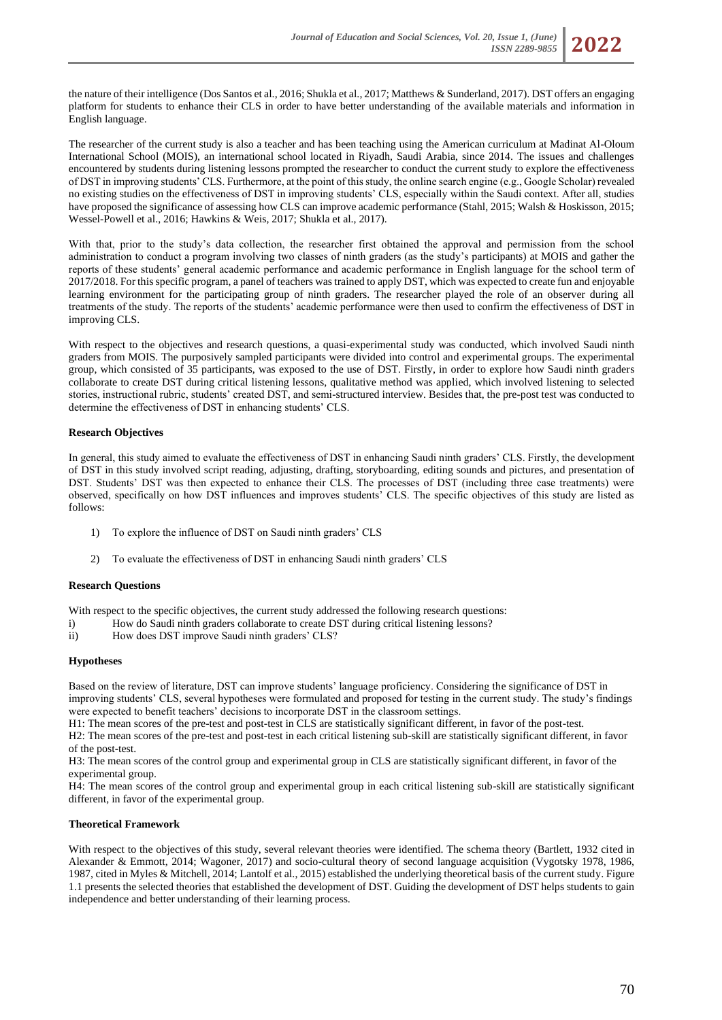

The researcher of the current study is also a teacher and has been teaching using the American curriculum at Madinat Al-Oloum International School (MOIS), an international school located in Riyadh, Saudi Arabia, since 2014. The issues and challenges encountered by students during listening lessons prompted the researcher to conduct the current study to explore the effectiveness of DST in improving students' CLS. Furthermore, at the point of this study, the online search engine (e.g., Google Scholar) revealed no existing studies on the effectiveness of DST in improving students' CLS, especially within the Saudi context. After all, studies have proposed the significance of assessing how CLS can improve academic performance (Stahl, 2015; Walsh & Hoskisson, 2015; Wessel-Powell et al., 2016; Hawkins & Weis, 2017; Shukla et al., 2017).

With that, prior to the study's data collection, the researcher first obtained the approval and permission from the school administration to conduct a program involving two classes of ninth graders (as the study's participants) at MOIS and gather the reports of these students' general academic performance and academic performance in English language for the school term of 2017/2018. For this specific program, a panel of teachers was trained to apply DST, which was expected to create fun and enjoyable learning environment for the participating group of ninth graders. The researcher played the role of an observer during all treatments of the study. The reports of the students' academic performance were then used to confirm the effectiveness of DST in improving CLS.

With respect to the objectives and research questions, a quasi-experimental study was conducted, which involved Saudi ninth graders from MOIS. The purposively sampled participants were divided into control and experimental groups. The experimental group, which consisted of 35 participants, was exposed to the use of DST. Firstly, in order to explore how Saudi ninth graders collaborate to create DST during critical listening lessons, qualitative method was applied, which involved listening to selected stories, instructional rubric, students' created DST, and semi-structured interview. Besides that, the pre-post test was conducted to determine the effectiveness of DST in enhancing students' CLS.

## **Research Objectives**

In general, this study aimed to evaluate the effectiveness of DST in enhancing Saudi ninth graders' CLS. Firstly, the development of DST in this study involved script reading, adjusting, drafting, storyboarding, editing sounds and pictures, and presentation of DST. Students' DST was then expected to enhance their CLS. The processes of DST (including three case treatments) were observed, specifically on how DST influences and improves students' CLS. The specific objectives of this study are listed as follows:

- 1) To explore the influence of DST on Saudi ninth graders' CLS
- 2) To evaluate the effectiveness of DST in enhancing Saudi ninth graders' CLS

## **Research Questions**

With respect to the specific objectives, the current study addressed the following research questions:

- i) How do Saudi ninth graders collaborate to create DST during critical listening lessons?
- ii) How does DST improve Saudi ninth graders' CLS?

## **Hypotheses**

Based on the review of literature, DST can improve students' language proficiency. Considering the significance of DST in improving students' CLS, several hypotheses were formulated and proposed for testing in the current study. The study's findings were expected to benefit teachers' decisions to incorporate DST in the classroom settings.

H1: The mean scores of the pre-test and post-test in CLS are statistically significant different, in favor of the post-test. H2: The mean scores of the pre-test and post-test in each critical listening sub-skill are statistically significant different, in favor of the post-test.

H3: The mean scores of the control group and experimental group in CLS are statistically significant different, in favor of the experimental group.

H4: The mean scores of the control group and experimental group in each critical listening sub-skill are statistically significant different, in favor of the experimental group.

#### **Theoretical Framework**

With respect to the objectives of this study, several relevant theories were identified. The schema theory (Bartlett, 1932 cited in Alexander & Emmott, 2014; Wagoner, 2017) and socio-cultural theory of second language acquisition (Vygotsky 1978, 1986, 1987, cited in Myles & Mitchell, 2014; Lantolf et al., 2015) established the underlying theoretical basis of the current study. Figure 1.1 presents the selected theories that established the development of DST. Guiding the development of DST helps students to gain independence and better understanding of their learning process.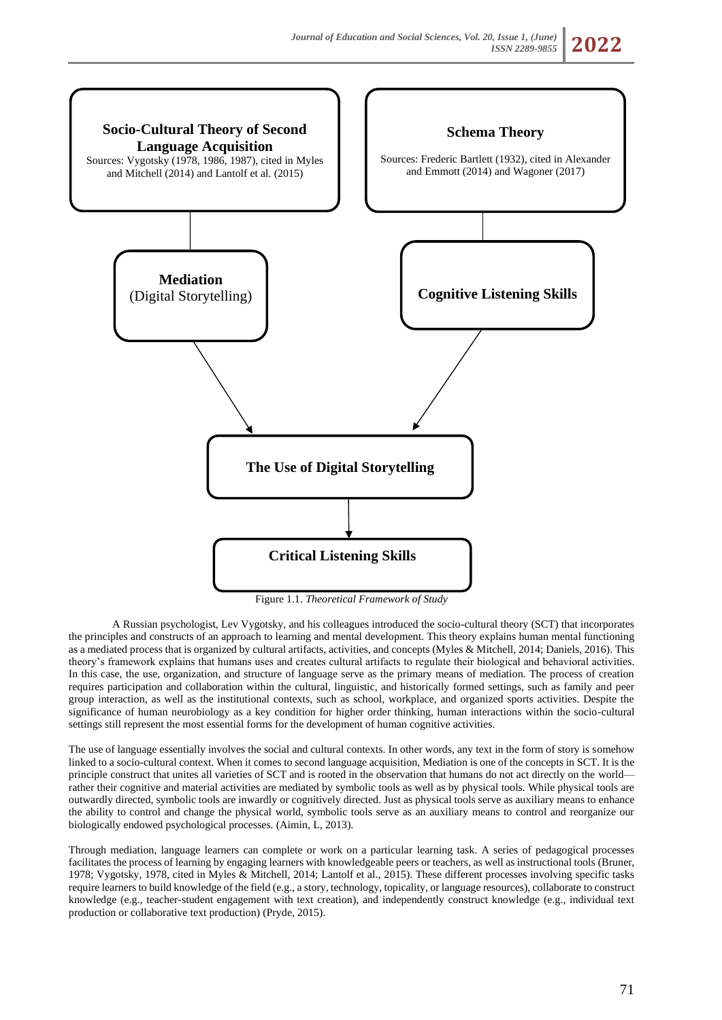

Figure 1.1. *Theoretical Framework of Study*

A Russian psychologist, Lev Vygotsky, and his colleagues introduced the socio-cultural theory (SCT) that incorporates the principles and constructs of an approach to learning and mental development. This theory explains human mental functioning as a mediated process that is organized by cultural artifacts, activities, and concepts (Myles & Mitchell, 2014; Daniels, 2016). This theory's framework explains that humans uses and creates cultural artifacts to regulate their biological and behavioral activities. In this case, the use, organization, and structure of language serve as the primary means of mediation. The process of creation requires participation and collaboration within the cultural, linguistic, and historically formed settings, such as family and peer group interaction, as well as the institutional contexts, such as school, workplace, and organized sports activities. Despite the significance of human neurobiology as a key condition for higher order thinking, human interactions within the socio-cultural settings still represent the most essential forms for the development of human cognitive activities.

The use of language essentially involves the social and cultural contexts. In other words, any text in the form of story is somehow linked to a socio-cultural context. When it comes to second language acquisition, Mediation is one of the concepts in SCT. It is the principle construct that unites all varieties of SCT and is rooted in the observation that humans do not act directly on the world rather their cognitive and material activities are mediated by symbolic tools as well as by physical tools. While physical tools are outwardly directed, symbolic tools are inwardly or cognitively directed. Just as physical tools serve as auxiliary means to enhance the ability to control and change the physical world, symbolic tools serve as an auxiliary means to control and reorganize our biologically endowed psychological processes. (Aimin, L, 2013).

Through mediation, language learners can complete or work on a particular learning task. A series of pedagogical processes facilitates the process of learning by engaging learners with knowledgeable peers or teachers, as well as instructional tools (Bruner, 1978; Vygotsky, 1978, cited in Myles & Mitchell, 2014; Lantolf et al., 2015). These different processes involving specific tasks require learners to build knowledge of the field (e.g., a story, technology, topicality, or language resources), collaborate to construct knowledge (e.g., teacher-student engagement with text creation), and independently construct knowledge (e.g., individual text production or collaborative text production) (Pryde, 2015).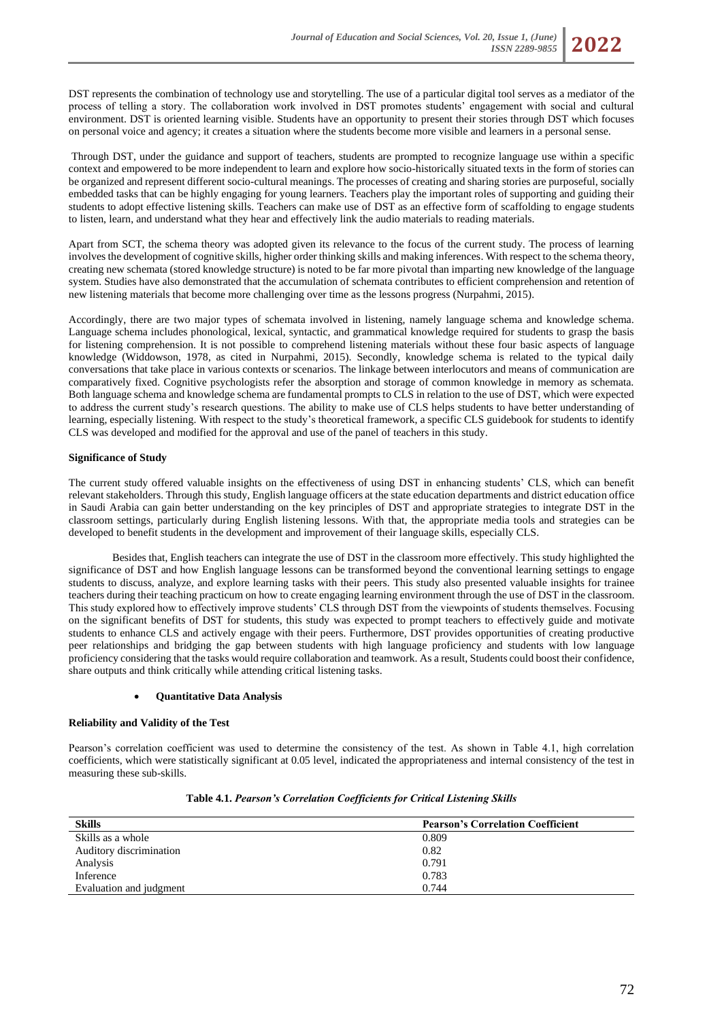DST represents the combination of technology use and storytelling. The use of a particular digital tool serves as a mediator of the process of telling a story. The collaboration work involved in DST promotes students' engagement with social and cultural environment. DST is oriented learning visible. Students have an opportunity to present their stories through DST which focuses on personal voice and agency; it creates a situation where the students become more visible and learners in a personal sense.

Through DST, under the guidance and support of teachers, students are prompted to recognize language use within a specific context and empowered to be more independent to learn and explore how socio-historically situated texts in the form of stories can be organized and represent different socio-cultural meanings. The processes of creating and sharing stories are purposeful, socially embedded tasks that can be highly engaging for young learners. Teachers play the important roles of supporting and guiding their students to adopt effective listening skills. Teachers can make use of DST as an effective form of scaffolding to engage students to listen, learn, and understand what they hear and effectively link the audio materials to reading materials.

Apart from SCT, the schema theory was adopted given its relevance to the focus of the current study. The process of learning involves the development of cognitive skills, higher order thinking skills and making inferences. With respect to the schema theory, creating new schemata (stored knowledge structure) is noted to be far more pivotal than imparting new knowledge of the language system. Studies have also demonstrated that the accumulation of schemata contributes to efficient comprehension and retention of new listening materials that become more challenging over time as the lessons progress (Nurpahmi, 2015).

Accordingly, there are two major types of schemata involved in listening, namely language schema and knowledge schema. Language schema includes phonological, lexical, syntactic, and grammatical knowledge required for students to grasp the basis for listening comprehension. It is not possible to comprehend listening materials without these four basic aspects of language knowledge (Widdowson, 1978, as cited in Nurpahmi, 2015). Secondly, knowledge schema is related to the typical daily conversations that take place in various contexts or scenarios. The linkage between interlocutors and means of communication are comparatively fixed. Cognitive psychologists refer the absorption and storage of common knowledge in memory as schemata. Both language schema and knowledge schema are fundamental prompts to CLS in relation to the use of DST, which were expected to address the current study's research questions. The ability to make use of CLS helps students to have better understanding of learning, especially listening. With respect to the study's theoretical framework, a specific CLS guidebook for students to identify CLS was developed and modified for the approval and use of the panel of teachers in this study.

## **Significance of Study**

The current study offered valuable insights on the effectiveness of using DST in enhancing students' CLS, which can benefit relevant stakeholders. Through this study, English language officers at the state education departments and district education office in Saudi Arabia can gain better understanding on the key principles of DST and appropriate strategies to integrate DST in the classroom settings, particularly during English listening lessons. With that, the appropriate media tools and strategies can be developed to benefit students in the development and improvement of their language skills, especially CLS.

Besides that, English teachers can integrate the use of DST in the classroom more effectively. This study highlighted the significance of DST and how English language lessons can be transformed beyond the conventional learning settings to engage students to discuss, analyze, and explore learning tasks with their peers. This study also presented valuable insights for trainee teachers during their teaching practicum on how to create engaging learning environment through the use of DST in the classroom. This study explored how to effectively improve students' CLS through DST from the viewpoints of students themselves. Focusing on the significant benefits of DST for students, this study was expected to prompt teachers to effectively guide and motivate students to enhance CLS and actively engage with their peers. Furthermore, DST provides opportunities of creating productive peer relationships and bridging the gap between students with high language proficiency and students with low language proficiency considering that the tasks would require collaboration and teamwork. As a result, Students could boost their confidence, share outputs and think critically while attending critical listening tasks.

### • **Quantitative Data Analysis**

### **Reliability and Validity of the Test**

Pearson's correlation coefficient was used to determine the consistency of the test. As shown in Table 4.1, high correlation coefficients, which were statistically significant at 0.05 level, indicated the appropriateness and internal consistency of the test in measuring these sub-skills.

| <b>Skills</b>           | <b>Pearson's Correlation Coefficient</b> |
|-------------------------|------------------------------------------|
| Skills as a whole       | 0.809                                    |
| Auditory discrimination | 0.82                                     |
| Analysis                | 0.791                                    |
| Inference               | 0.783                                    |
| Evaluation and judgment | 0.744                                    |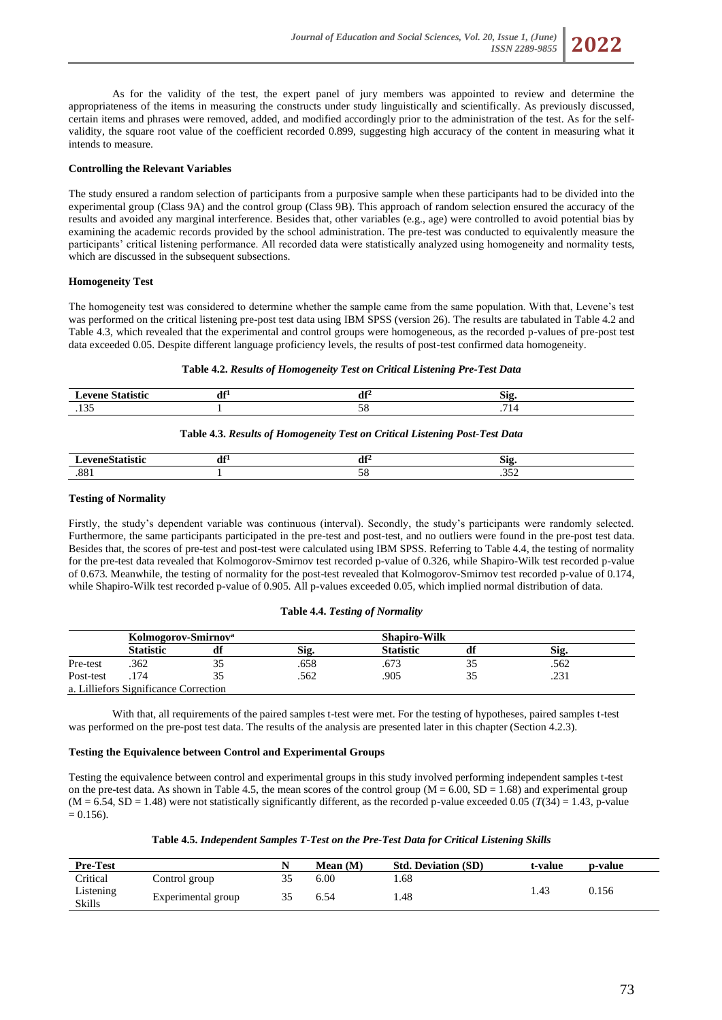

As for the validity of the test, the expert panel of jury members was appointed to review and determine the appropriateness of the items in measuring the constructs under study linguistically and scientifically. As previously discussed, certain items and phrases were removed, added, and modified accordingly prior to the administration of the test. As for the selfvalidity, the square root value of the coefficient recorded 0.899, suggesting high accuracy of the content in measuring what it intends to measure.

### **Controlling the Relevant Variables**

The study ensured a random selection of participants from a purposive sample when these participants had to be divided into the experimental group (Class 9A) and the control group (Class 9B). This approach of random selection ensured the accuracy of the results and avoided any marginal interference. Besides that, other variables (e.g., age) were controlled to avoid potential bias by examining the academic records provided by the school administration. The pre-test was conducted to equivalently measure the participants' critical listening performance. All recorded data were statistically analyzed using homogeneity and normality tests, which are discussed in the subsequent subsections.

### **Homogeneity Test**

The homogeneity test was considered to determine whether the sample came from the same population. With that, Levene's test was performed on the critical listening pre-post test data using IBM SPSS (version 26). The results are tabulated in Table 4.2 and Table 4.3, which revealed that the experimental and control groups were homogeneous, as the recorded p-values of pre-post test data exceeded 0.05. Despite different language proficiency levels, the results of post-test confirmed data homogeneity.

#### **Table 4.2.** *Results of Homogeneity Test on Critical Listening Pre-Test Data*

|          | т А<br>$\cdots$ | <br>-212 |
|----------|-----------------|----------|
| - -<br>. |                 |          |

## **Table 4.3.** *Results of Homogeneity Test on Critical Listening Post-Test Data*

| $\sim$ $\sim$ $\sim$ $\sim$ $\sim$<br>- | т А<br>u | - 44 | -212   |
|-----------------------------------------|----------|------|--------|
| $\Omega$<br>.00                         |          |      | $\sim$ |

### **Testing of Normality**

Firstly, the study's dependent variable was continuous (interval). Secondly, the study's participants were randomly selected. Furthermore, the same participants participated in the pre-test and post-test, and no outliers were found in the pre-post test data. Besides that, the scores of pre-test and post-test were calculated using IBM SPSS. Referring to Table 4.4, the testing of normality for the pre-test data revealed that Kolmogorov-Smirnov test recorded p-value of 0.326, while Shapiro-Wilk test recorded p-value of 0.673*.* Meanwhile, the testing of normality for the post-test revealed that Kolmogorov-Smirnov test recorded p-value of 0.174, while Shapiro-Wilk test recorded p-value of 0.905. All p-values exceeded 0.05, which implied normal distribution of data.

#### **Table 4.4.** *Testing of Normality*

|           | Kolmogorov-Smirnov <sup>a</sup>       |    |      |                  | <b>Shapiro-Wilk</b> |      |  |
|-----------|---------------------------------------|----|------|------------------|---------------------|------|--|
|           | <b>Statistic</b>                      |    | S12. | <b>Statistic</b> |                     | Sig  |  |
| Pre-test  | .362                                  | JJ | .658 | .673             |                     | .562 |  |
| Post-test |                                       |    | .562 | .905             |                     | .231 |  |
|           | a. Lilliefors Significance Correction |    |      |                  |                     |      |  |

With that, all requirements of the paired samples t-test were met. For the testing of hypotheses, paired samples t-test was performed on the pre-post test data. The results of the analysis are presented later in this chapter (Section 4.2.3).

## **Testing the Equivalence between Control and Experimental Groups**

Testing the equivalence between control and experimental groups in this study involved performing independent samples t-test on the pre-test data. As shown in Table 4.5, the mean scores of the control group  $(M = 6.00, SD = 1.68)$  and experimental group  $(M = 6.54, SD = 1.48)$  were not statistically significantly different, as the recorded p-value exceeded 0.05 ( $T(34) = 1.43$ , p-value  $= 0.156$ .

| <b>Pre-Test</b>            |                    | Mean (M) | <b>Std. Deviation (SD)</b> | t-value | p-value |
|----------------------------|--------------------|----------|----------------------------|---------|---------|
| Critical                   | Control group      | 6.00     | .68                        |         |         |
| Listening<br><b>Skills</b> | Experimental group | 6.54     | l.48                       | . 43    | 0.156   |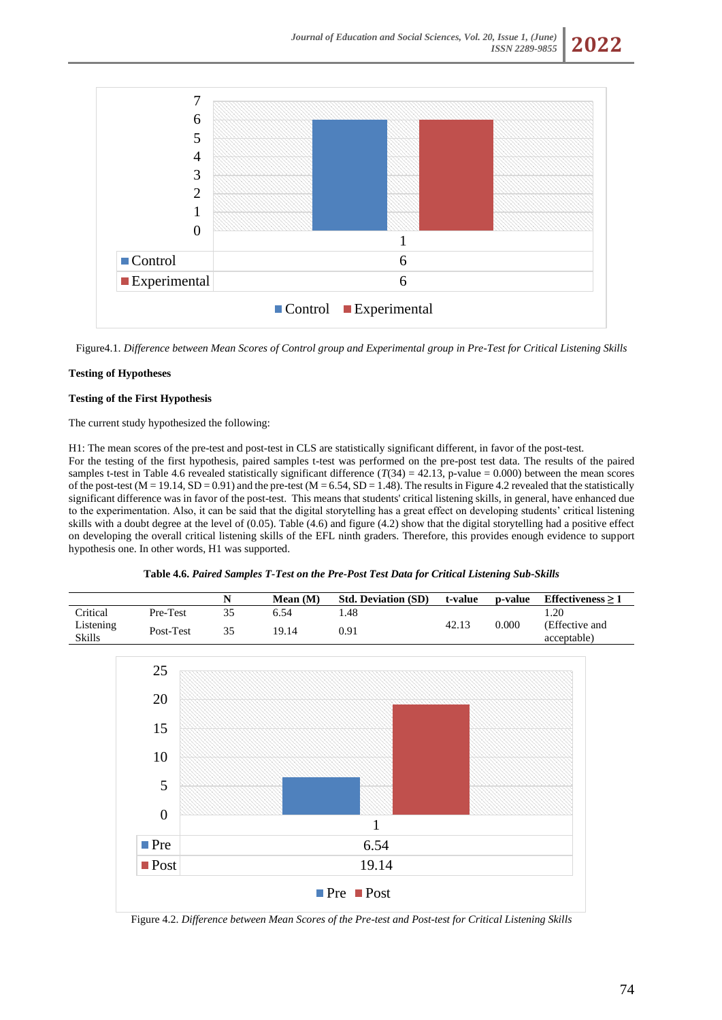

Figure4.1. *Difference between Mean Scores of Control group and Experimental group in Pre-Test for Critical Listening Skills*

# **Testing of Hypotheses**

## **Testing of the First Hypothesis**

The current study hypothesized the following:

H1: The mean scores of the pre-test and post-test in CLS are statistically significant different, in favor of the post-test. For the testing of the first hypothesis, paired samples t-test was performed on the pre-post test data. The results of the paired samples t-test in Table 4.6 revealed statistically significant difference  $(T(34) = 42.13$ , p-value = 0.000) between the mean scores of the post-test  $(M = 19.14, SD = 0.91)$  and the pre-test  $(M = 6.54, SD = 1.48)$ . The results in Figure 4.2 revealed that the statistically significant difference was in favor of the post-test. This means that students' critical listening skills, in general, have enhanced due to the experimentation. Also, it can be said that the digital storytelling has a great effect on developing students' critical listening skills with a doubt degree at the level of (0.05). Table (4.6) and figure (4.2) show that the digital storytelling had a positive effect on developing the overall critical listening skills of the EFL ninth graders. Therefore, this provides enough evidence to support hypothesis one. In other words, H1 was supported.

| Table 4.6. Paired Samples T-Test on the Pre-Post Test Data for Critical Listening Sub-Skills |  |  |  |
|----------------------------------------------------------------------------------------------|--|--|--|
|----------------------------------------------------------------------------------------------|--|--|--|

|                     |           | Mean $(M)$ | <b>Std. Deviation (SD)</b> | t-value | p-value | Effectiveness $> 1$           |
|---------------------|-----------|------------|----------------------------|---------|---------|-------------------------------|
| <b>Tritical</b>     | Pre-Test  | 6.54       | .48                        |         |         | 20                            |
| Listening<br>Skills | Post-Test | 19.14      | 0.91                       | 42.13   | 0.000   | (Effective and<br>acceptable) |



Figure 4.2. *Difference between Mean Scores of the Pre-test and Post-test for Critical Listening Skills*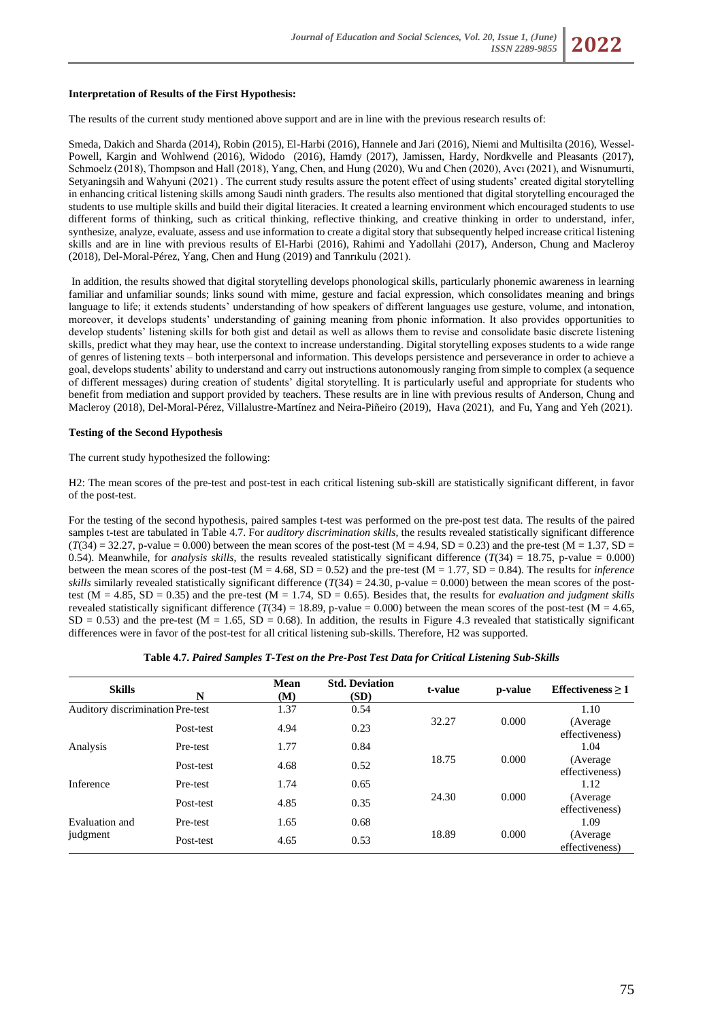### **Interpretation of Results of the First Hypothesis:**

The results of the current study mentioned above support and are in line with the previous research results of:

Smeda, Dakich and Sharda (2014), Robin (2015), El-Harbi (2016), Hannele and Jari (2016), Niemi and Multisilta (2016), Wessel‐ Powell, Kargin and Wohlwend (2016), Widodo (2016), Hamdy (2017), Jamissen, Hardy, Nordkvelle and Pleasants (2017), Schmoelz (2018), Thompson and Hall (2018), Yang, Chen, and Hung (2020), Wu and Chen (2020), Avcı (2021), and Wisnumurti, Setyaningsih and Wahyuni (2021) . The current study results assure the potent effect of using students' created digital storytelling in enhancing critical listening skills among Saudi ninth graders. The results also mentioned that digital storytelling encouraged the students to use multiple skills and build their digital literacies. It created a learning environment which encouraged students to use different forms of thinking, such as critical thinking, reflective thinking, and creative thinking in order to understand, infer, synthesize, analyze, evaluate, assess and use information to create a digital story that subsequently helped increase critical listening skills and are in line with previous results of El-Harbi (2016), Rahimi and Yadollahi (2017), Anderson, Chung and Macleroy (2018), Del-Moral-Pérez, Yang, Chen and Hung (2019) and Tanrıkulu (2021).

In addition, the results showed that digital storytelling develops phonological skills, particularly phonemic awareness in learning familiar and unfamiliar sounds; links sound with mime, gesture and facial expression, which consolidates meaning and brings language to life; it extends students' understanding of how speakers of different languages use gesture, volume, and intonation, moreover, it develops students' understanding of gaining meaning from phonic information. It also provides opportunities to develop students' listening skills for both gist and detail as well as allows them to revise and consolidate basic discrete listening skills, predict what they may hear, use the context to increase understanding. Digital storytelling exposes students to a wide range of genres of listening texts – both interpersonal and information. This develops persistence and perseverance in order to achieve a goal, develops students' ability to understand and carry out instructions autonomously ranging from simple to complex (a sequence of different messages) during creation of students' digital storytelling. It is particularly useful and appropriate for students who benefit from mediation and support provided by teachers. These results are in line with previous results of Anderson, Chung and Macleroy (2018), Del-Moral-Pérez, Villalustre-Martínez and Neira-Piñeiro (2019), Hava (2021), and Fu, Yang and Yeh (2021).

### **Testing of the Second Hypothesis**

The current study hypothesized the following:

H2: The mean scores of the pre-test and post-test in each critical listening sub-skill are statistically significant different, in favor of the post-test.

For the testing of the second hypothesis, paired samples t-test was performed on the pre-post test data. The results of the paired samples t-test are tabulated in Table 4.7. For *auditory discrimination skills*, the results revealed statistically significant difference  $(T(34) = 32.27$ , p-value = 0.000) between the mean scores of the post-test  $(M = 4.94$ , SD = 0.23) and the pre-test  $(M = 1.37, SD = 1.57)$ 0.54). Meanwhile, for *analysis skills*, the results revealed statistically significant difference  $(T(34) = 18.75$ , p-value = 0.000) between the mean scores of the post-test  $(M = 4.68, SD = 0.52)$  and the pre-test  $(M = 1.77, SD = 0.84)$ . The results for *inference skills* similarly revealed statistically significant difference  $(T(34) = 24.30$ , p-value = 0.000) between the mean scores of the posttest ( $M = 4.85$ ,  $SD = 0.35$ ) and the pre-test ( $M = 1.74$ ,  $SD = 0.65$ ). Besides that, the results for *evaluation and judgment skills* revealed statistically significant difference  $(T(34) = 18.89$ , p-value = 0.000) between the mean scores of the post-test (M = 4.65,  $SD = 0.53$ ) and the pre-test (M = 1.65, SD = 0.68). In addition, the results in Figure 4.3 revealed that statistically significant differences were in favor of the post-test for all critical listening sub-skills. Therefore, H2 was supported.

| Table 4.7. Paired Samples T-Test on the Pre-Post Test Data for Critical Listening Sub-Skills |  |  |  |
|----------------------------------------------------------------------------------------------|--|--|--|
|                                                                                              |  |  |  |

| <b>Skills</b>                    | N         | <b>Mean</b><br>(M) | <b>Std. Deviation</b><br>(SD) | t-value | p-value | Effectiveness $> 1$         |
|----------------------------------|-----------|--------------------|-------------------------------|---------|---------|-----------------------------|
| Auditory discrimination Pre-test |           | 1.37               | 0.54                          |         |         | 1.10                        |
|                                  | Post-test | 4.94               | 0.23                          | 32.27   | 0.000   | (Average)<br>effectiveness) |
| Analysis                         | Pre-test  | 1.77               | 0.84                          |         |         | 1.04                        |
|                                  | Post-test | 4.68               | 0.52                          | 18.75   | 0.000   | (Average)<br>effectiveness) |
| Inference                        | Pre-test  | 1.74               | 0.65                          |         |         | 1.12                        |
|                                  | Post-test | 4.85               | 0.35                          | 24.30   | 0.000   | (Average)<br>effectiveness) |
| Evaluation and                   | Pre-test  | 1.65               | 0.68                          |         |         | 1.09                        |
| judgment                         | Post-test | 4.65               | 0.53                          | 18.89   | 0.000   | (Average)<br>effectiveness) |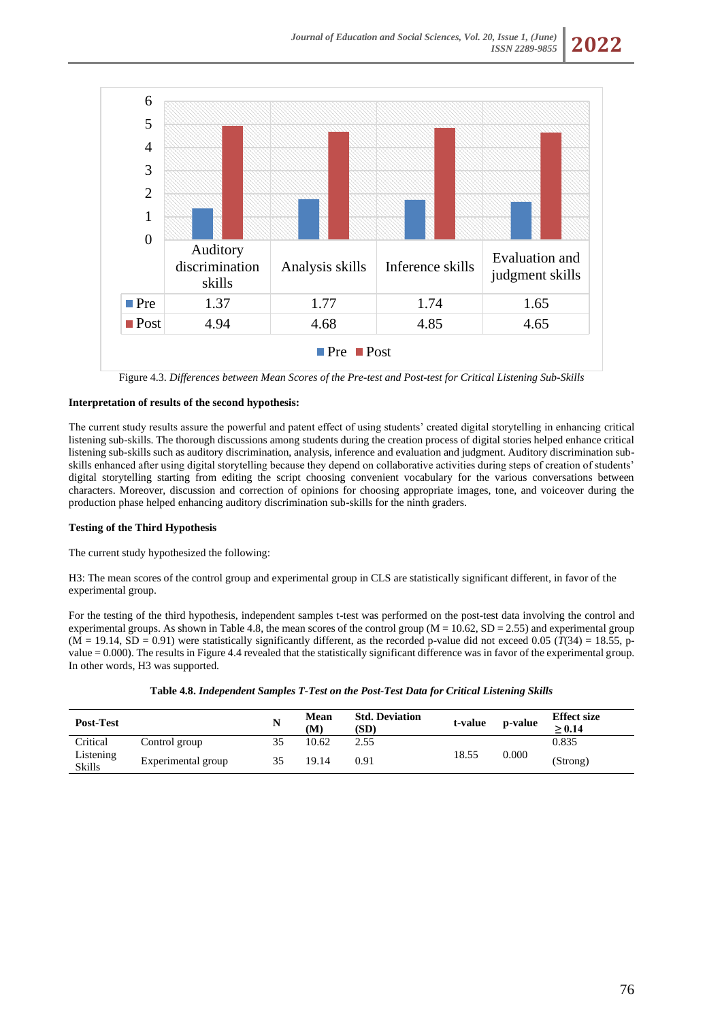

Figure 4.3. *Differences between Mean Scores of the Pre-test and Post-test for Critical Listening Sub-Skills*

# **Interpretation of results of the second hypothesis:**

The current study results assure the powerful and patent effect of using students' created digital storytelling in enhancing critical listening sub-skills. The thorough discussions among students during the creation process of digital stories helped enhance critical listening sub-skills such as auditory discrimination, analysis, inference and evaluation and judgment. Auditory discrimination subskills enhanced after using digital storytelling because they depend on collaborative activities during steps of creation of students' digital storytelling starting from editing the script choosing convenient vocabulary for the various conversations between characters. Moreover, discussion and correction of opinions for choosing appropriate images, tone, and voiceover during the production phase helped enhancing auditory discrimination sub-skills for the ninth graders.

### **Testing of the Third Hypothesis**

The current study hypothesized the following:

H3: The mean scores of the control group and experimental group in CLS are statistically significant different, in favor of the experimental group.

For the testing of the third hypothesis, independent samples t-test was performed on the post-test data involving the control and experimental groups. As shown in Table 4.8, the mean scores of the control group ( $M = 10.62$ ,  $SD = 2.55$ ) and experimental group  $(M = 19.14, SD = 0.91)$  were statistically significantly different, as the recorded p-value did not exceed 0.05 ( $T(34) = 18.55$ , pvalue = 0.000). The results in Figure 4.4 revealed that the statistically significant difference was in favor of the experimental group. In other words, H3 was supported.

| Table 4.8. Independent Samples T-Test on the Post-Test Data for Critical Listening Skills |  |  |  |
|-------------------------------------------------------------------------------------------|--|--|--|
|-------------------------------------------------------------------------------------------|--|--|--|

| <b>Post-Test</b>           |                    |    | <b>Mean</b><br>(M) | <b>Std. Deviation</b><br>(SD) | t-value | p-value | <b>Effect size</b><br>$\ge 0.14$ |
|----------------------------|--------------------|----|--------------------|-------------------------------|---------|---------|----------------------------------|
| Critical                   | Control group      |    | 10.62              | 2.55                          |         | 0.000   | 0.835                            |
| Listening<br><b>Skills</b> | Experimental group | 35 | 19.14              | 0.91                          | 18.55   |         | (Strong)                         |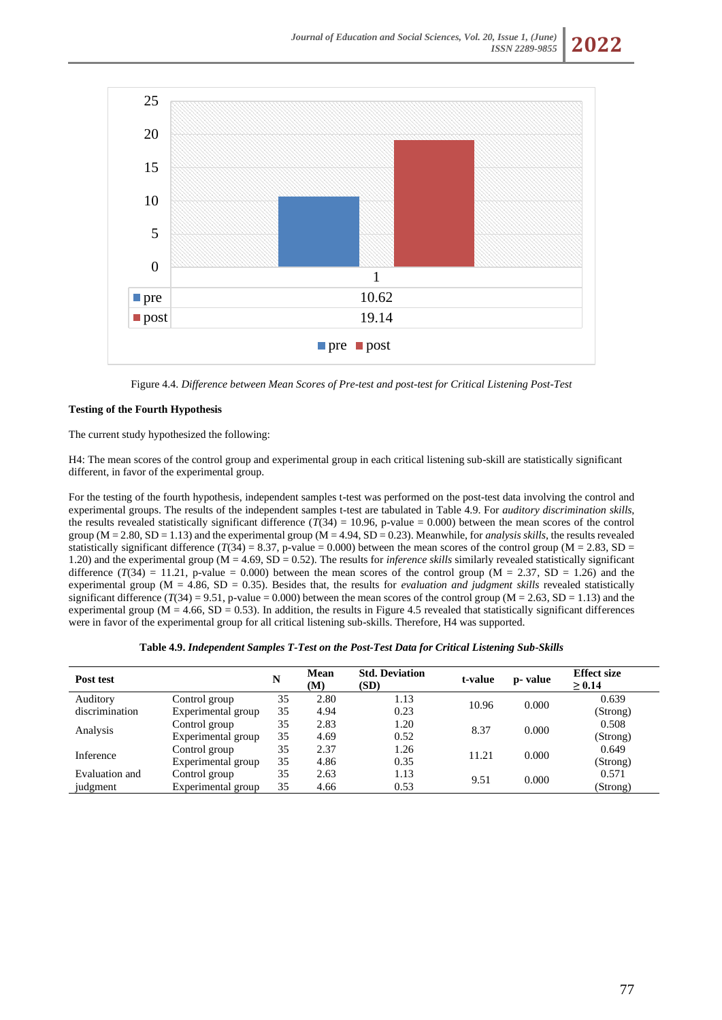

Figure 4.4. *Difference between Mean Scores of Pre-test and post-test for Critical Listening Post-Test*

# **Testing of the Fourth Hypothesis**

The current study hypothesized the following:

H4: The mean scores of the control group and experimental group in each critical listening sub-skill are statistically significant different, in favor of the experimental group.

For the testing of the fourth hypothesis, independent samples t-test was performed on the post-test data involving the control and experimental groups. The results of the independent samples t-test are tabulated in Table 4.9. For *auditory discrimination skills*, the results revealed statistically significant difference  $(T(34) = 10.96$ , p-value = 0.000) between the mean scores of the control group (M = 2.80, SD = 1.13) and the experimental group (M = 4.94, SD = 0.23). Meanwhile, for *analysis skills*, the results revealed statistically significant difference  $(T(34) = 8.37, p$ -value = 0.000) between the mean scores of the control group (M = 2.83, SD = 1.20) and the experimental group (M = 4.69, SD = 0.52). The results for *inference skills* similarly revealed statistically significant difference  $(T(34) = 11.21$ , p-value = 0.000) between the mean scores of the control group (M = 2.37, SD = 1.26) and the experimental group ( $M = 4.86$ ,  $SD = 0.35$ ). Besides that, the results for *evaluation and judgment skills* revealed statistically significant difference  $(T(34) = 9.51$ , p-value = 0.000) between the mean scores of the control group (M = 2.63, SD = 1.13) and the experimental group ( $M = 4.66$ ,  $SD = 0.53$ ). In addition, the results in Figure 4.5 revealed that statistically significant differences were in favor of the experimental group for all critical listening sub-skills. Therefore, H4 was supported.

| Post test      |                    | N  | Mean<br>(M) | <b>Std. Deviation</b><br>(SD) | t-value | p- value | <b>Effect size</b><br>$\geq 0.14$ |
|----------------|--------------------|----|-------------|-------------------------------|---------|----------|-----------------------------------|
| Auditory       | Control group      | 35 | 2.80        | 1.13                          | 10.96   | 0.000    | 0.639                             |
| discrimination | Experimental group | 35 | 4.94        | 0.23                          |         |          | (Strong)                          |
| Analysis       | Control group      | 35 | 2.83        | 1.20                          | 8.37    | 0.000    | 0.508                             |
|                | Experimental group | 35 | 4.69        | 0.52                          |         |          | (Strong)                          |
| Inference      | Control group      | 35 | 2.37        | 1.26                          | 11.21   | 0.000    | 0.649                             |
|                | Experimental group | 35 | 4.86        | 0.35                          |         |          | (Strong)                          |
| Evaluation and | Control group      | 35 | 2.63        | 1.13                          | 9.51    | 0.000    | 0.571                             |
| judgment       | Experimental group | 35 | 4.66        | 0.53                          |         |          | (Strong)                          |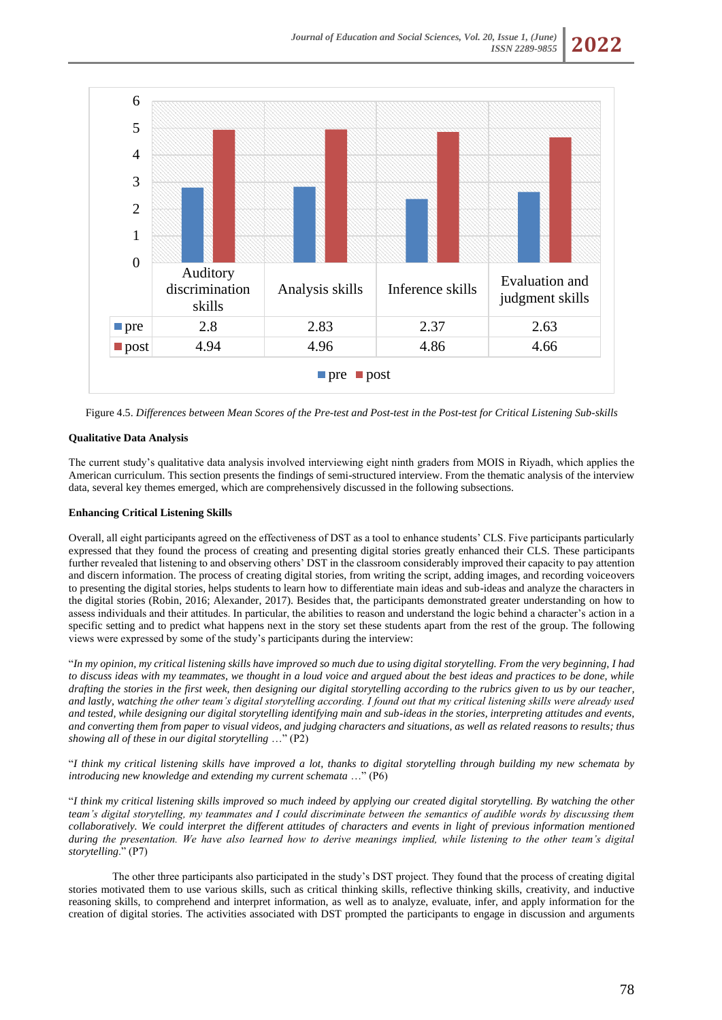

Figure 4.5. *Differences between Mean Scores of the Pre-test and Post-test in the Post-test for Critical Listening Sub-skills*

# **Qualitative Data Analysis**

The current study's qualitative data analysis involved interviewing eight ninth graders from MOIS in Riyadh, which applies the American curriculum. This section presents the findings of semi-structured interview. From the thematic analysis of the interview data, several key themes emerged, which are comprehensively discussed in the following subsections.

## **Enhancing Critical Listening Skills**

Overall, all eight participants agreed on the effectiveness of DST as a tool to enhance students' CLS. Five participants particularly expressed that they found the process of creating and presenting digital stories greatly enhanced their CLS. These participants further revealed that listening to and observing others' DST in the classroom considerably improved their capacity to pay attention and discern information. The process of creating digital stories, from writing the script, adding images, and recording voiceovers to presenting the digital stories, helps students to learn how to differentiate main ideas and sub-ideas and analyze the characters in the digital stories (Robin, 2016; Alexander, 2017). Besides that, the participants demonstrated greater understanding on how to assess individuals and their attitudes. In particular, the abilities to reason and understand the logic behind a character's action in a specific setting and to predict what happens next in the story set these students apart from the rest of the group. The following views were expressed by some of the study's participants during the interview:

"*In my opinion, my critical listening skills have improved so much due to using digital storytelling. From the very beginning, I had to discuss ideas with my teammates, we thought in a loud voice and argued about the best ideas and practices to be done, while drafting the stories in the first week, then designing our digital storytelling according to the rubrics given to us by our teacher, and lastly, watching the other team's digital storytelling according. I found out that my critical listening skills were already used and tested, while designing our digital storytelling identifying main and sub-ideas in the stories, interpreting attitudes and events, and converting them from paper to visual videos, and judging characters and situations, as well as related reasons to results; thus showing all of these in our digital storytelling* …" (P2)

"*I think my critical listening skills have improved a lot, thanks to digital storytelling through building my new schemata by introducing new knowledge and extending my current schemata* …" (P6)

"*I think my critical listening skills improved so much indeed by applying our created digital storytelling. By watching the other team's digital storytelling, my teammates and I could discriminate between the semantics of audible words by discussing them collaboratively. We could interpret the different attitudes of characters and events in light of previous information mentioned during the presentation. We have also learned how to derive meanings implied, while listening to the other team's digital storytelling*." (P7)

The other three participants also participated in the study's DST project. They found that the process of creating digital stories motivated them to use various skills, such as critical thinking skills, reflective thinking skills, creativity, and inductive reasoning skills, to comprehend and interpret information, as well as to analyze, evaluate, infer, and apply information for the creation of digital stories. The activities associated with DST prompted the participants to engage in discussion and arguments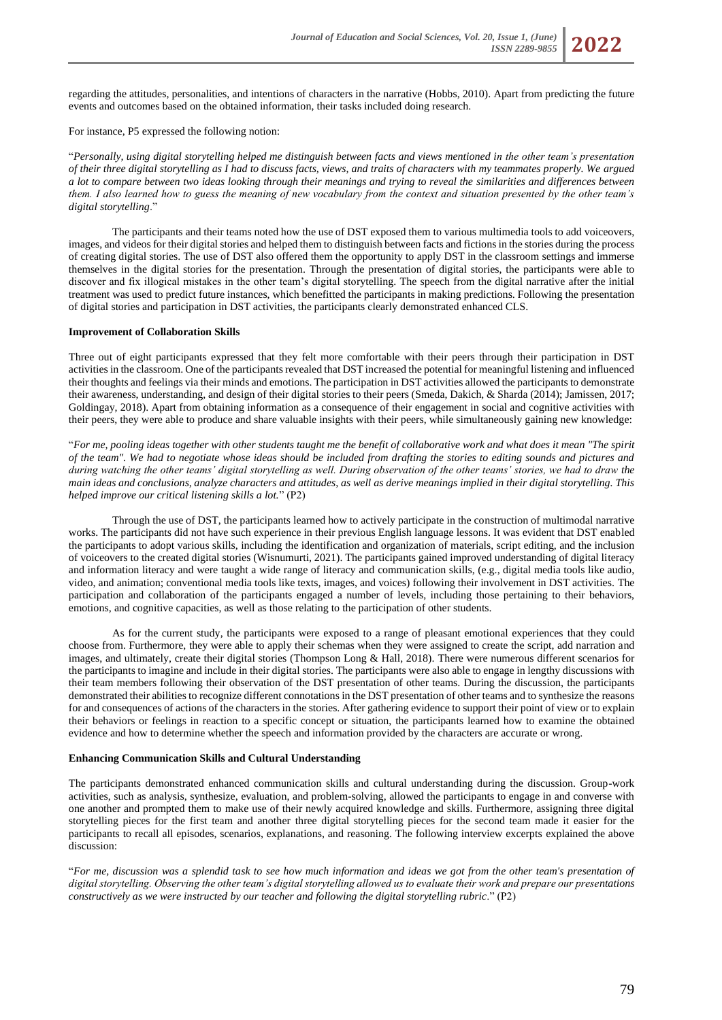

For instance, P5 expressed the following notion:

"*Personally, using digital storytelling helped me distinguish between facts and views mentioned in the other team's presentation of their three digital storytelling as I had to discuss facts, views, and traits of characters with my teammates properly. We argued a lot to compare between two ideas looking through their meanings and trying to reveal the similarities and differences between them. I also learned how to guess the meaning of new vocabulary from the context and situation presented by the other team's digital storytelling*."

The participants and their teams noted how the use of DST exposed them to various multimedia tools to add voiceovers, images, and videos for their digital stories and helped them to distinguish between facts and fictions in the stories during the process of creating digital stories. The use of DST also offered them the opportunity to apply DST in the classroom settings and immerse themselves in the digital stories for the presentation. Through the presentation of digital stories, the participants were able to discover and fix illogical mistakes in the other team's digital storytelling. The speech from the digital narrative after the initial treatment was used to predict future instances, which benefitted the participants in making predictions. Following the presentation of digital stories and participation in DST activities, the participants clearly demonstrated enhanced CLS.

#### **Improvement of Collaboration Skills**

Three out of eight participants expressed that they felt more comfortable with their peers through their participation in DST activities in the classroom. One of the participants revealed that DST increased the potential for meaningful listening and influenced their thoughts and feelings via their minds and emotions. The participation in DST activities allowed the participants to demonstrate their awareness, understanding, and design of their digital stories to their peers (Smeda, Dakich, & Sharda (2014); Jamissen, 2017; Goldingay, 2018). Apart from obtaining information as a consequence of their engagement in social and cognitive activities with their peers, they were able to produce and share valuable insights with their peers, while simultaneously gaining new knowledge:

"*For me, pooling ideas together with other students taught me the benefit of collaborative work and what does it mean "The spirit of the team". We had to negotiate whose ideas should be included from drafting the stories to editing sounds and pictures and during watching the other teams' digital storytelling as well. During observation of the other teams' stories, we had to draw the main ideas and conclusions, analyze characters and attitudes, as well as derive meanings implied in their digital storytelling. This helped improve our critical listening skills a lot.*" (P2)

Through the use of DST, the participants learned how to actively participate in the construction of multimodal narrative works. The participants did not have such experience in their previous English language lessons. It was evident that DST enabled the participants to adopt various skills, including the identification and organization of materials, script editing, and the inclusion of voiceovers to the created digital stories (Wisnumurti, 2021). The participants gained improved understanding of digital literacy and information literacy and were taught a wide range of literacy and communication skills, (e.g., digital media tools like audio, video, and animation; conventional media tools like texts, images, and voices) following their involvement in DST activities. The participation and collaboration of the participants engaged a number of levels, including those pertaining to their behaviors, emotions, and cognitive capacities, as well as those relating to the participation of other students.

As for the current study, the participants were exposed to a range of pleasant emotional experiences that they could choose from. Furthermore, they were able to apply their schemas when they were assigned to create the script, add narration and images, and ultimately, create their digital stories (Thompson Long & Hall, 2018). There were numerous different scenarios for the participants to imagine and include in their digital stories. The participants were also able to engage in lengthy discussions with their team members following their observation of the DST presentation of other teams. During the discussion, the participants demonstrated their abilities to recognize different connotations in the DST presentation of other teams and to synthesize the reasons for and consequences of actions of the characters in the stories. After gathering evidence to support their point of view or to explain their behaviors or feelings in reaction to a specific concept or situation, the participants learned how to examine the obtained evidence and how to determine whether the speech and information provided by the characters are accurate or wrong.

#### **Enhancing Communication Skills and Cultural Understanding**

The participants demonstrated enhanced communication skills and cultural understanding during the discussion. Group-work activities, such as analysis, synthesize, evaluation, and problem-solving, allowed the participants to engage in and converse with one another and prompted them to make use of their newly acquired knowledge and skills. Furthermore, assigning three digital storytelling pieces for the first team and another three digital storytelling pieces for the second team made it easier for the participants to recall all episodes, scenarios, explanations, and reasoning. The following interview excerpts explained the above discussion:

"*For me, discussion was a splendid task to see how much information and ideas we got from the other team's presentation of digital storytelling. Observing the other team's digital storytelling allowed us to evaluate their work and prepare our presentations constructively as we were instructed by our teacher and following the digital storytelling rubric*." (P2)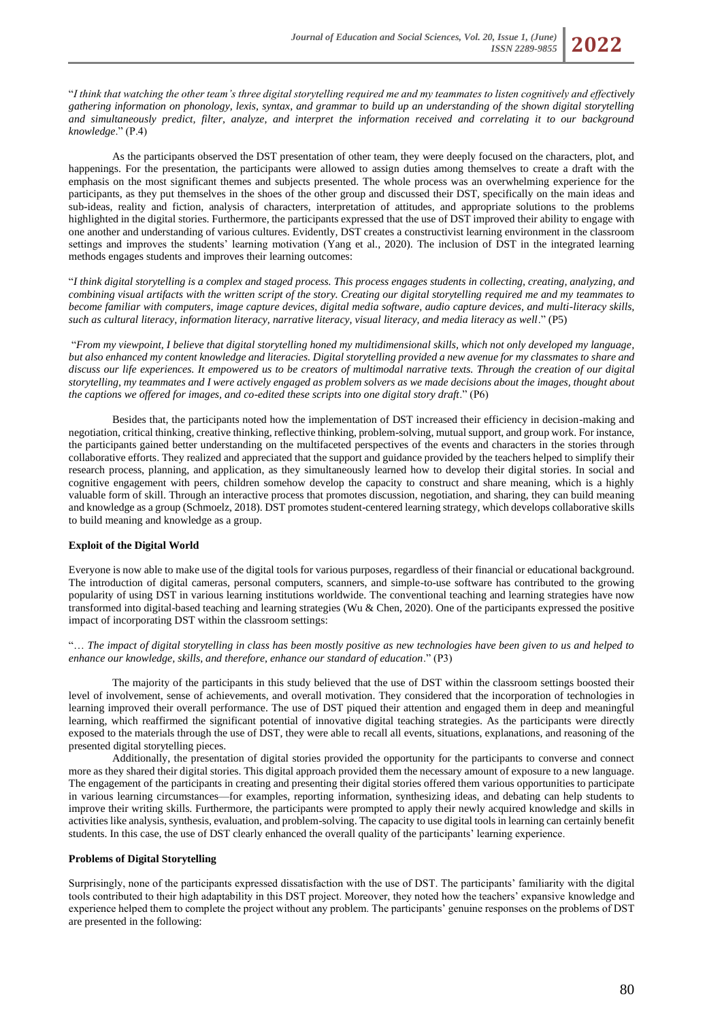"*I think that watching the other team's three digital storytelling required me and my teammates to listen cognitively and effectively gathering information on phonology, lexis, syntax, and grammar to build up an understanding of the shown digital storytelling and simultaneously predict, filter, analyze, and interpret the information received and correlating it to our background knowledge*." (P.4)

As the participants observed the DST presentation of other team, they were deeply focused on the characters, plot, and happenings. For the presentation, the participants were allowed to assign duties among themselves to create a draft with the emphasis on the most significant themes and subjects presented. The whole process was an overwhelming experience for the participants, as they put themselves in the shoes of the other group and discussed their DST, specifically on the main ideas and sub-ideas, reality and fiction, analysis of characters, interpretation of attitudes, and appropriate solutions to the problems highlighted in the digital stories. Furthermore, the participants expressed that the use of DST improved their ability to engage with one another and understanding of various cultures. Evidently, DST creates a constructivist learning environment in the classroom settings and improves the students' learning motivation (Yang et al., 2020). The inclusion of DST in the integrated learning methods engages students and improves their learning outcomes:

"*I think digital storytelling is a complex and staged process. This process engages students in collecting, creating, analyzing, and combining visual artifacts with the written script of the story. Creating our digital storytelling required me and my teammates to become familiar with computers, image capture devices, digital media software, audio capture devices, and multi-literacy skills, such as cultural literacy, information literacy, narrative literacy, visual literacy, and media literacy as well*." (P5)

"*From my viewpoint, I believe that digital storytelling honed my multidimensional skills, which not only developed my language, but also enhanced my content knowledge and literacies. Digital storytelling provided a new avenue for my classmates to share and discuss our life experiences. It empowered us to be creators of multimodal narrative texts. Through the creation of our digital storytelling, my teammates and I were actively engaged as problem solvers as we made decisions about the images, thought about the captions we offered for images, and co-edited these scripts into one digital story draft.*" (P6)

Besides that, the participants noted how the implementation of DST increased their efficiency in decision-making and negotiation, critical thinking, creative thinking, reflective thinking, problem-solving, mutual support, and group work. For instance, the participants gained better understanding on the multifaceted perspectives of the events and characters in the stories through collaborative efforts. They realized and appreciated that the support and guidance provided by the teachers helped to simplify their research process, planning, and application, as they simultaneously learned how to develop their digital stories. In social and cognitive engagement with peers, children somehow develop the capacity to construct and share meaning, which is a highly valuable form of skill. Through an interactive process that promotes discussion, negotiation, and sharing, they can build meaning and knowledge as a group (Schmoelz, 2018). DST promotes student-centered learning strategy, which develops collaborative skills to build meaning and knowledge as a group.

#### **Exploit of the Digital World**

Everyone is now able to make use of the digital tools for various purposes, regardless of their financial or educational background. The introduction of digital cameras, personal computers, scanners, and simple-to-use software has contributed to the growing popularity of using DST in various learning institutions worldwide. The conventional teaching and learning strategies have now transformed into digital-based teaching and learning strategies (Wu & Chen, 2020). One of the participants expressed the positive impact of incorporating DST within the classroom settings:

"… *The impact of digital storytelling in class has been mostly positive as new technologies have been given to us and helped to enhance our knowledge, skills, and therefore, enhance our standard of education*." (P3)

The majority of the participants in this study believed that the use of DST within the classroom settings boosted their level of involvement, sense of achievements, and overall motivation. They considered that the incorporation of technologies in learning improved their overall performance. The use of DST piqued their attention and engaged them in deep and meaningful learning, which reaffirmed the significant potential of innovative digital teaching strategies. As the participants were directly exposed to the materials through the use of DST, they were able to recall all events, situations, explanations, and reasoning of the presented digital storytelling pieces.

Additionally, the presentation of digital stories provided the opportunity for the participants to converse and connect more as they shared their digital stories. This digital approach provided them the necessary amount of exposure to a new language. The engagement of the participants in creating and presenting their digital stories offered them various opportunities to participate in various learning circumstances—for examples, reporting information, synthesizing ideas, and debating can help students to improve their writing skills. Furthermore, the participants were prompted to apply their newly acquired knowledge and skills in activities like analysis, synthesis, evaluation, and problem-solving. The capacity to use digital tools in learning can certainly benefit students. In this case, the use of DST clearly enhanced the overall quality of the participants' learning experience.

#### **Problems of Digital Storytelling**

Surprisingly, none of the participants expressed dissatisfaction with the use of DST. The participants' familiarity with the digital tools contributed to their high adaptability in this DST project. Moreover, they noted how the teachers' expansive knowledge and experience helped them to complete the project without any problem. The participants' genuine responses on the problems of DST are presented in the following: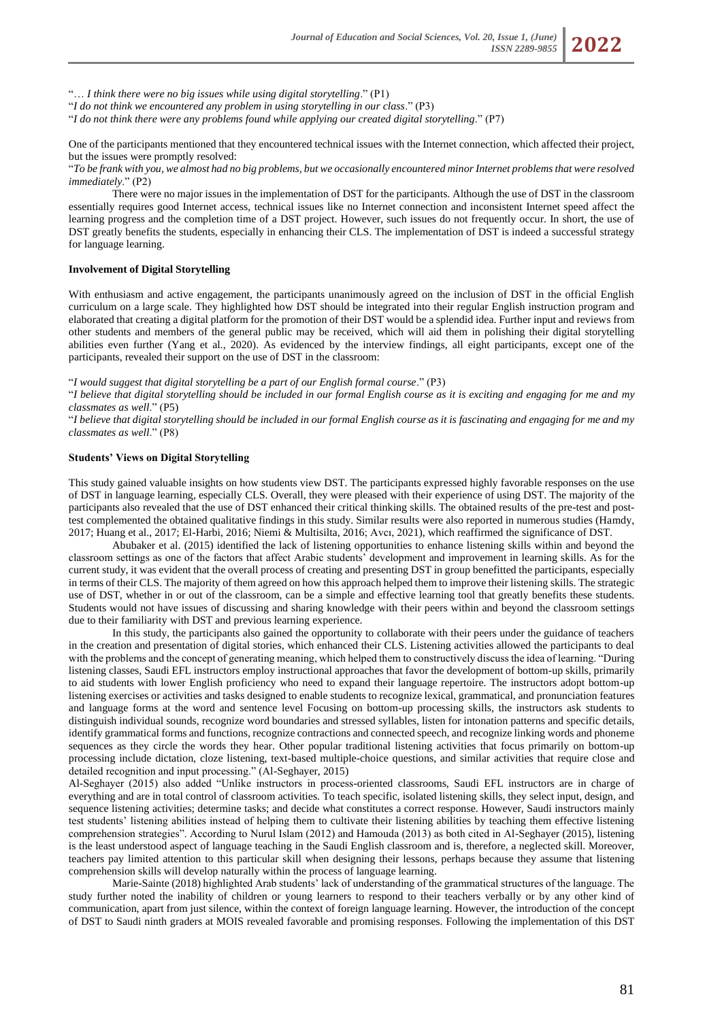"… *I think there were no big issues while using digital storytelling*." (P1)

"*I do not think we encountered any problem in using storytelling in our class*." (P3)

"*I do not think there were any problems found while applying our created digital storytelling*." (P7)

One of the participants mentioned that they encountered technical issues with the Internet connection, which affected their project, but the issues were promptly resolved:

"*To be frank with you, we almost had no big problems, but we occasionally encountered minor Internet problems that were resolved immediately*." (P2)

There were no major issues in the implementation of DST for the participants. Although the use of DST in the classroom essentially requires good Internet access, technical issues like no Internet connection and inconsistent Internet speed affect the learning progress and the completion time of a DST project. However, such issues do not frequently occur. In short, the use of DST greatly benefits the students, especially in enhancing their CLS. The implementation of DST is indeed a successful strategy for language learning.

# **Involvement of Digital Storytelling**

With enthusiasm and active engagement, the participants unanimously agreed on the inclusion of DST in the official English curriculum on a large scale. They highlighted how DST should be integrated into their regular English instruction program and elaborated that creating a digital platform for the promotion of their DST would be a splendid idea. Further input and reviews from other students and members of the general public may be received, which will aid them in polishing their digital storytelling abilities even further (Yang et al., 2020). As evidenced by the interview findings, all eight participants, except one of the participants, revealed their support on the use of DST in the classroom:

"*I would suggest that digital storytelling be a part of our English formal course*." (P3)

"*I believe that digital storytelling should be included in our formal English course as it is exciting and engaging for me and my classmates as well*." (P5)

"*I believe that digital storytelling should be included in our formal English course as it is fascinating and engaging for me and my classmates as well*." (P8)

### **Students' Views on Digital Storytelling**

This study gained valuable insights on how students view DST. The participants expressed highly favorable responses on the use of DST in language learning, especially CLS. Overall, they were pleased with their experience of using DST. The majority of the participants also revealed that the use of DST enhanced their critical thinking skills. The obtained results of the pre-test and posttest complemented the obtained qualitative findings in this study. Similar results were also reported in numerous studies (Hamdy, 2017; Huang et al., 2017; El-Harbi, 2016; Niemi & Multisilta, 2016; Avcı, 2021), which reaffirmed the significance of DST.

Abubaker et al. (2015) identified the lack of listening opportunities to enhance listening skills within and beyond the classroom settings as one of the factors that affect Arabic students' development and improvement in learning skills. As for the current study, it was evident that the overall process of creating and presenting DST in group benefitted the participants, especially in terms of their CLS. The majority of them agreed on how this approach helped them to improve their listening skills. The strategic use of DST, whether in or out of the classroom, can be a simple and effective learning tool that greatly benefits these students. Students would not have issues of discussing and sharing knowledge with their peers within and beyond the classroom settings due to their familiarity with DST and previous learning experience.

In this study, the participants also gained the opportunity to collaborate with their peers under the guidance of teachers in the creation and presentation of digital stories, which enhanced their CLS. Listening activities allowed the participants to deal with the problems and the concept of generating meaning, which helped them to constructively discuss the idea of learning. "During listening classes, Saudi EFL instructors employ instructional approaches that favor the development of bottom-up skills, primarily to aid students with lower English proficiency who need to expand their language repertoire. The instructors adopt bottom-up listening exercises or activities and tasks designed to enable students to recognize lexical, grammatical, and pronunciation features and language forms at the word and sentence level Focusing on bottom-up processing skills, the instructors ask students to distinguish individual sounds, recognize word boundaries and stressed syllables, listen for intonation patterns and specific details, identify grammatical forms and functions, recognize contractions and connected speech, and recognize linking words and phoneme sequences as they circle the words they hear. Other popular traditional listening activities that focus primarily on bottom-up processing include dictation, cloze listening, text-based multiple-choice questions, and similar activities that require close and detailed recognition and input processing." (Al-Seghayer, 2015)

Al-Seghayer (2015) also added "Unlike instructors in process-oriented classrooms, Saudi EFL instructors are in charge of everything and are in total control of classroom activities. To teach specific, isolated listening skills, they select input, design, and sequence listening activities; determine tasks; and decide what constitutes a correct response. However, Saudi instructors mainly test students' listening abilities instead of helping them to cultivate their listening abilities by teaching them effective listening comprehension strategies". According to Nurul Islam (2012) and Hamouda (2013) as both cited in Al-Seghayer (2015), listening is the least understood aspect of language teaching in the Saudi English classroom and is, therefore, a neglected skill. Moreover, teachers pay limited attention to this particular skill when designing their lessons, perhaps because they assume that listening comprehension skills will develop naturally within the process of language learning.

Marie-Sainte (2018) highlighted Arab students' lack of understanding of the grammatical structures of the language. The study further noted the inability of children or young learners to respond to their teachers verbally or by any other kind of communication, apart from just silence, within the context of foreign language learning. However, the introduction of the concept of DST to Saudi ninth graders at MOIS revealed favorable and promising responses. Following the implementation of this DST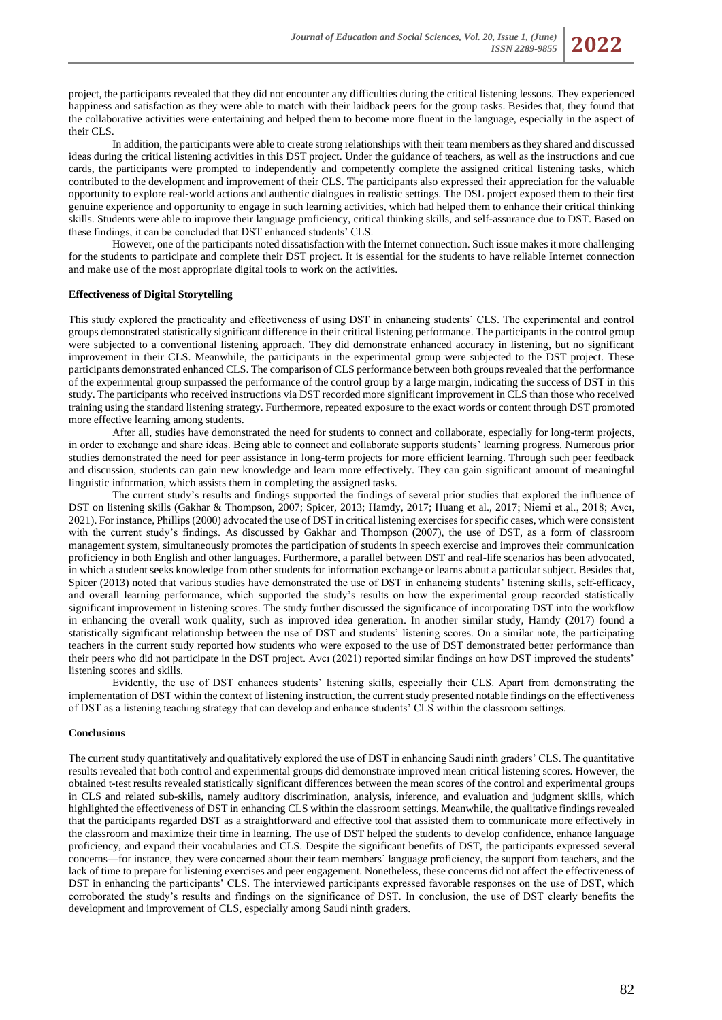project, the participants revealed that they did not encounter any difficulties during the critical listening lessons. They experienced happiness and satisfaction as they were able to match with their laidback peers for the group tasks. Besides that, they found that the collaborative activities were entertaining and helped them to become more fluent in the language, especially in the aspect of their CLS.

In addition, the participants were able to create strong relationships with their team members as they shared and discussed ideas during the critical listening activities in this DST project. Under the guidance of teachers, as well as the instructions and cue cards, the participants were prompted to independently and competently complete the assigned critical listening tasks, which contributed to the development and improvement of their CLS. The participants also expressed their appreciation for the valuable opportunity to explore real-world actions and authentic dialogues in realistic settings. The DSL project exposed them to their first genuine experience and opportunity to engage in such learning activities, which had helped them to enhance their critical thinking skills. Students were able to improve their language proficiency, critical thinking skills, and self-assurance due to DST. Based on these findings, it can be concluded that DST enhanced students' CLS.

However, one of the participants noted dissatisfaction with the Internet connection. Such issue makes it more challenging for the students to participate and complete their DST project. It is essential for the students to have reliable Internet connection and make use of the most appropriate digital tools to work on the activities.

#### **Effectiveness of Digital Storytelling**

This study explored the practicality and effectiveness of using DST in enhancing students' CLS. The experimental and control groups demonstrated statistically significant difference in their critical listening performance. The participants in the control group were subjected to a conventional listening approach. They did demonstrate enhanced accuracy in listening, but no significant improvement in their CLS. Meanwhile, the participants in the experimental group were subjected to the DST project. These participants demonstrated enhanced CLS. The comparison of CLS performance between both groups revealed that the performance of the experimental group surpassed the performance of the control group by a large margin, indicating the success of DST in this study. The participants who received instructions via DST recorded more significant improvement in CLS than those who received training using the standard listening strategy. Furthermore, repeated exposure to the exact words or content through DST promoted more effective learning among students.

After all, studies have demonstrated the need for students to connect and collaborate, especially for long-term projects, in order to exchange and share ideas. Being able to connect and collaborate supports students' learning progress. Numerous prior studies demonstrated the need for peer assistance in long-term projects for more efficient learning. Through such peer feedback and discussion, students can gain new knowledge and learn more effectively. They can gain significant amount of meaningful linguistic information, which assists them in completing the assigned tasks.

The current study's results and findings supported the findings of several prior studies that explored the influence of DST on listening skills (Gakhar & Thompson, 2007; Spicer, 2013; Hamdy, 2017; Huang et al., 2017; Niemi et al., 2018; Avcı, 2021). For instance, Phillips (2000) advocated the use of DST in critical listening exercises for specific cases, which were consistent with the current study's findings. As discussed by Gakhar and Thompson (2007), the use of DST, as a form of classroom management system, simultaneously promotes the participation of students in speech exercise and improves their communication proficiency in both English and other languages. Furthermore, a parallel between DST and real-life scenarios has been advocated, in which a student seeks knowledge from other students for information exchange or learns about a particular subject. Besides that, Spicer (2013) noted that various studies have demonstrated the use of DST in enhancing students' listening skills, self-efficacy, and overall learning performance, which supported the study's results on how the experimental group recorded statistically significant improvement in listening scores. The study further discussed the significance of incorporating DST into the workflow in enhancing the overall work quality, such as improved idea generation. In another similar study, Hamdy (2017) found a statistically significant relationship between the use of DST and students' listening scores. On a similar note, the participating teachers in the current study reported how students who were exposed to the use of DST demonstrated better performance than their peers who did not participate in the DST project. Avcı (2021) reported similar findings on how DST improved the students' listening scores and skills.

Evidently, the use of DST enhances students' listening skills, especially their CLS. Apart from demonstrating the implementation of DST within the context of listening instruction, the current study presented notable findings on the effectiveness of DST as a listening teaching strategy that can develop and enhance students' CLS within the classroom settings.

#### **Conclusions**

The current study quantitatively and qualitatively explored the use of DST in enhancing Saudi ninth graders' CLS. The quantitative results revealed that both control and experimental groups did demonstrate improved mean critical listening scores. However, the obtained t-test results revealed statistically significant differences between the mean scores of the control and experimental groups in CLS and related sub-skills, namely auditory discrimination, analysis, inference, and evaluation and judgment skills, which highlighted the effectiveness of DST in enhancing CLS within the classroom settings. Meanwhile, the qualitative findings revealed that the participants regarded DST as a straightforward and effective tool that assisted them to communicate more effectively in the classroom and maximize their time in learning. The use of DST helped the students to develop confidence, enhance language proficiency, and expand their vocabularies and CLS. Despite the significant benefits of DST, the participants expressed several concerns—for instance, they were concerned about their team members' language proficiency, the support from teachers, and the lack of time to prepare for listening exercises and peer engagement. Nonetheless, these concerns did not affect the effectiveness of DST in enhancing the participants' CLS. The interviewed participants expressed favorable responses on the use of DST, which corroborated the study's results and findings on the significance of DST. In conclusion, the use of DST clearly benefits the development and improvement of CLS, especially among Saudi ninth graders.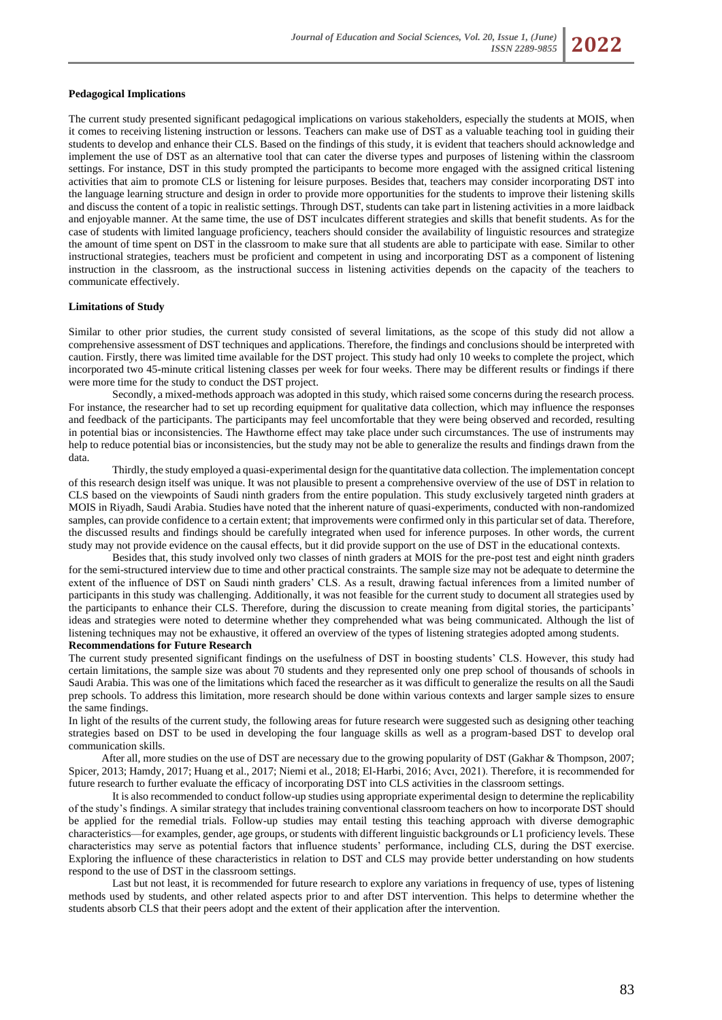

The current study presented significant pedagogical implications on various stakeholders, especially the students at MOIS, when it comes to receiving listening instruction or lessons. Teachers can make use of DST as a valuable teaching tool in guiding their students to develop and enhance their CLS. Based on the findings of this study, it is evident that teachers should acknowledge and implement the use of DST as an alternative tool that can cater the diverse types and purposes of listening within the classroom settings. For instance, DST in this study prompted the participants to become more engaged with the assigned critical listening activities that aim to promote CLS or listening for leisure purposes. Besides that, teachers may consider incorporating DST into the language learning structure and design in order to provide more opportunities for the students to improve their listening skills and discuss the content of a topic in realistic settings. Through DST, students can take part in listening activities in a more laidback and enjoyable manner. At the same time, the use of DST inculcates different strategies and skills that benefit students. As for the case of students with limited language proficiency, teachers should consider the availability of linguistic resources and strategize the amount of time spent on DST in the classroom to make sure that all students are able to participate with ease. Similar to other instructional strategies, teachers must be proficient and competent in using and incorporating DST as a component of listening instruction in the classroom, as the instructional success in listening activities depends on the capacity of the teachers to communicate effectively.

#### **Limitations of Study**

Similar to other prior studies, the current study consisted of several limitations, as the scope of this study did not allow a comprehensive assessment of DST techniques and applications. Therefore, the findings and conclusions should be interpreted with caution. Firstly, there was limited time available for the DST project. This study had only 10 weeks to complete the project, which incorporated two 45-minute critical listening classes per week for four weeks. There may be different results or findings if there were more time for the study to conduct the DST project.

Secondly, a mixed-methods approach was adopted in this study, which raised some concerns during the research process. For instance, the researcher had to set up recording equipment for qualitative data collection, which may influence the responses and feedback of the participants. The participants may feel uncomfortable that they were being observed and recorded, resulting in potential bias or inconsistencies. The Hawthorne effect may take place under such circumstances. The use of instruments may help to reduce potential bias or inconsistencies, but the study may not be able to generalize the results and findings drawn from the data.

Thirdly, the study employed a quasi-experimental design for the quantitative data collection. The implementation concept of this research design itself was unique. It was not plausible to present a comprehensive overview of the use of DST in relation to CLS based on the viewpoints of Saudi ninth graders from the entire population. This study exclusively targeted ninth graders at MOIS in Riyadh, Saudi Arabia. Studies have noted that the inherent nature of quasi-experiments, conducted with non-randomized samples, can provide confidence to a certain extent; that improvements were confirmed only in this particular set of data. Therefore, the discussed results and findings should be carefully integrated when used for inference purposes. In other words, the current study may not provide evidence on the causal effects, but it did provide support on the use of DST in the educational contexts.

Besides that, this study involved only two classes of ninth graders at MOIS for the pre-post test and eight ninth graders for the semi-structured interview due to time and other practical constraints. The sample size may not be adequate to determine the extent of the influence of DST on Saudi ninth graders' CLS. As a result, drawing factual inferences from a limited number of participants in this study was challenging. Additionally, it was not feasible for the current study to document all strategies used by the participants to enhance their CLS. Therefore, during the discussion to create meaning from digital stories, the participants' ideas and strategies were noted to determine whether they comprehended what was being communicated. Although the list of listening techniques may not be exhaustive, it offered an overview of the types of listening strategies adopted among students. **Recommendations for Future Research**

The current study presented significant findings on the usefulness of DST in boosting students' CLS. However, this study had certain limitations, the sample size was about 70 students and they represented only one prep school of thousands of schools in Saudi Arabia. This was one of the limitations which faced the researcher as it was difficult to generalize the results on all the Saudi prep schools. To address this limitation, more research should be done within various contexts and larger sample sizes to ensure the same findings.

In light of the results of the current study, the following areas for future research were suggested such as designing other teaching strategies based on DST to be used in developing the four language skills as well as a program-based DST to develop oral communication skills.

 After all, more studies on the use of DST are necessary due to the growing popularity of DST (Gakhar & Thompson, 2007; Spicer, 2013; Hamdy, 2017; Huang et al., 2017; Niemi et al., 2018; El-Harbi, 2016; Avcı, 2021). Therefore, it is recommended for future research to further evaluate the efficacy of incorporating DST into CLS activities in the classroom settings.

It is also recommended to conduct follow-up studies using appropriate experimental design to determine the replicability of the study's findings. A similar strategy that includes training conventional classroom teachers on how to incorporate DST should be applied for the remedial trials. Follow-up studies may entail testing this teaching approach with diverse demographic characteristics—for examples, gender, age groups, or students with different linguistic backgrounds or L1 proficiency levels. These characteristics may serve as potential factors that influence students' performance, including CLS, during the DST exercise. Exploring the influence of these characteristics in relation to DST and CLS may provide better understanding on how students respond to the use of DST in the classroom settings.

Last but not least, it is recommended for future research to explore any variations in frequency of use, types of listening methods used by students, and other related aspects prior to and after DST intervention. This helps to determine whether the students absorb CLS that their peers adopt and the extent of their application after the intervention.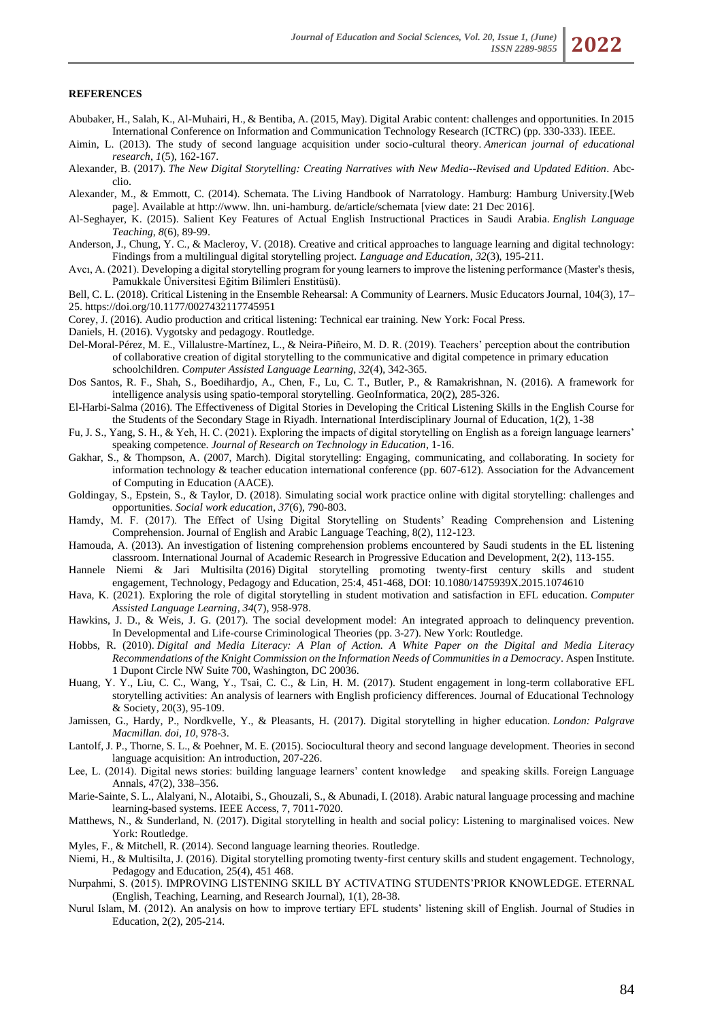#### **REFERENCES**

- Abubaker, H., Salah, K., Al-Muhairi, H., & Bentiba, A. (2015, May). Digital Arabic content: challenges and opportunities. In 2015 International Conference on Information and Communication Technology Research (ICTRC) (pp. 330-333). IEEE.
- Aimin, L. (2013). The study of second language acquisition under socio-cultural theory. *American journal of educational research*, *1*(5), 162-167.
- Alexander, B. (2017). *The New Digital Storytelling: Creating Narratives with New Media--Revised and Updated Edition*. Abcclio.
- Alexander, M., & Emmott, C. (2014). Schemata. The Living Handbook of Narratology. Hamburg: Hamburg University.[Web page]. Available at http://www. lhn. uni-hamburg. de/article/schemata [view date: 21 Dec 2016].
- Al-Seghayer, K. (2015). Salient Key Features of Actual English Instructional Practices in Saudi Arabia. *English Language Teaching*, *8*(6), 89-99.
- Anderson, J., Chung, Y. C., & Macleroy, V. (2018). Creative and critical approaches to language learning and digital technology: Findings from a multilingual digital storytelling project. *Language and Education*, *32*(3), 195-211.
- Avcı, A. (2021). Developing a digital storytelling program for young learners to improve the listening performance (Master's thesis, Pamukkale Üniversitesi Eğitim Bilimleri Enstitüsü).
- Bell, C. L. (2018). Critical Listening in the Ensemble Rehearsal: A Community of Learners. Music Educators Journal, 104(3), 17– 25. <https://doi.org/10.1177/0027432117745951>
- Corey, J. (2016). Audio production and critical listening: Technical ear training. New York: Focal Press.

Daniels, H. (2016). Vygotsky and pedagogy. Routledge.

- Del-Moral-Pérez, M. E., Villalustre-Martínez, L., & Neira-Piñeiro, M. D. R. (2019). Teachers' perception about the contribution of collaborative creation of digital storytelling to the communicative and digital competence in primary education schoolchildren. *Computer Assisted Language Learning*, *32*(4), 342-365.
- Dos Santos, R. F., Shah, S., Boedihardjo, A., Chen, F., Lu, C. T., Butler, P., & Ramakrishnan, N. (2016). A framework for intelligence analysis using spatio-temporal storytelling. GeoInformatica, 20(2), 285-326.
- El-Harbi-Salma (2016). The Effectiveness of Digital Stories in Developing the Critical Listening Skills in the English Course for the Students of the Secondary Stage in Riyadh. International Interdisciplinary Journal of Education, 1(2), 1-38
- Fu, J. S., Yang, S. H., & Yeh, H. C. (2021). Exploring the impacts of digital storytelling on English as a foreign language learners' speaking competence. *Journal of Research on Technology in Education*, 1-16.
- Gakhar, S., & Thompson, A. (2007, March). Digital storytelling: Engaging, communicating, and collaborating. In society for information technology & teacher education international conference (pp. 607-612). Association for the Advancement of Computing in Education (AACE).
- Goldingay, S., Epstein, S., & Taylor, D. (2018). Simulating social work practice online with digital storytelling: challenges and opportunities. *Social work education*, *37*(6), 790-803.
- Hamdy, M. F. (2017). The Effect of Using Digital Storytelling on Students' Reading Comprehension and Listening Comprehension. Journal of English and Arabic Language Teaching, 8(2), 112-123.
- Hamouda, A. (2013). An investigation of listening comprehension problems encountered by Saudi students in the EL listening classroom. International Journal of Academic Research in Progressive Education and Development, 2(2), 113-155.
- Hannele Niemi & Jari Multisilta (2016) Digital storytelling promoting twenty-first century skills and student engagement, Technology, Pedagogy and Education, 25:4, 451-468, DOI: [10.1080/1475939X.2015.1074610](https://doi.org/10.1080/1475939X.2015.1074610)
- Hava, K. (2021). Exploring the role of digital storytelling in student motivation and satisfaction in EFL education. *Computer Assisted Language Learning*, *34*(7), 958-978.
- Hawkins, J. D., & Weis, J. G. (2017). The social development model: An integrated approach to delinquency prevention. In Developmental and Life-course Criminological Theories (pp. 3-27). New York: Routledge.
- Hobbs, R. (2010). *Digital and Media Literacy: A Plan of Action. A White Paper on the Digital and Media Literacy Recommendations of the Knight Commission on the Information Needs of Communities in a Democracy*. Aspen Institute. 1 Dupont Circle NW Suite 700, Washington, DC 20036.
- Huang, Y. Y., Liu, C. C., Wang, Y., Tsai, C. C., & Lin, H. M. (2017). Student engagement in long-term collaborative EFL storytelling activities: An analysis of learners with English proficiency differences. Journal of Educational Technology & Society, 20(3), 95-109.
- Jamissen, G., Hardy, P., Nordkvelle, Y., & Pleasants, H. (2017). Digital storytelling in higher education. *London: Palgrave Macmillan. doi*, *10*, 978-3.
- Lantolf, J. P., Thorne, S. L., & Poehner, M. E. (2015). Sociocultural theory and second language development. Theories in second language acquisition: An introduction, 207-226.
- Lee, L. (2014). Digital news stories: building language learners' content knowledge and speaking skills. Foreign Language Annals, 47(2), 338–356.
- Marie-Sainte, S. L., Alalyani, N., Alotaibi, S., Ghouzali, S., & Abunadi, I. (2018). Arabic natural language processing and machine learning-based systems. IEEE Access, 7, 7011-7020.
- Matthews, N., & Sunderland, N. (2017). Digital storytelling in health and social policy: Listening to marginalised voices. New York: Routledge.
- Myles, F., & Mitchell, R. (2014). Second language learning theories. Routledge.
- Niemi, H., & Multisilta, J. (2016). Digital storytelling promoting twenty-first century skills and student engagement. Technology, Pedagogy and Education, 25(4), 451 468.
- Nurpahmi, S. (2015). IMPROVING LISTENING SKILL BY ACTIVATING STUDENTS'PRIOR KNOWLEDGE. ETERNAL (English, Teaching, Learning, and Research Journal), 1(1), 28-38.
- Nurul Islam, M. (2012). An analysis on how to improve tertiary EFL students' listening skill of English. Journal of Studies in Education, 2(2), 205-214.